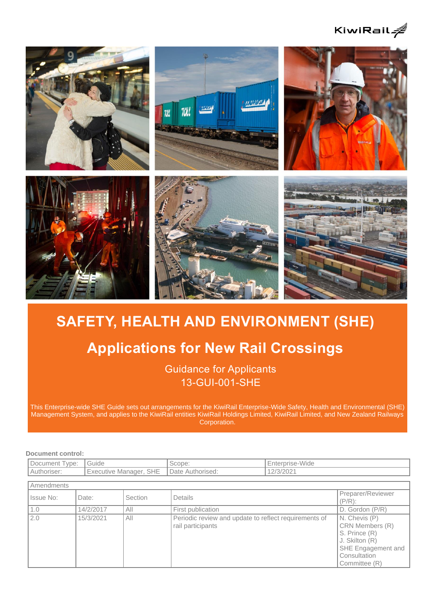



# **SAFETY, HEALTH AND ENVIRONMENT (SHE)**

## **Applications for New Rail Crossings**

Guidance for Applicants 13-GUI-001-SHE

This Enterprise-wide SHE Guide sets out arrangements for the KiwiRail Enterprise-Wide Safety, Health and Environmental (SHE) Management System, and applies to the KiwiRail entities KiwiRail Holdings Limited, KiwiRail Limited, and New Zealand Railways Corporation.

**Document control:**

| -<br>Document<br>vpe: | 'Guide                              | Scope:                             | :nterprise-Wide |
|-----------------------|-------------------------------------|------------------------------------|-----------------|
| Authoriser:           | <b>SHE</b><br>Manager.<br>Executive | Date $\overline{A}$<br>Authorised: | 101000<br>J/    |

| Amendments |           |                |                                                                            |                                                                                                                            |  |  |
|------------|-----------|----------------|----------------------------------------------------------------------------|----------------------------------------------------------------------------------------------------------------------------|--|--|
| Issue No:  | Date:     | <b>Section</b> | Details                                                                    | Preparer/Reviewer<br>$(P/R)$ :                                                                                             |  |  |
| 1.0        | 14/2/2017 | All            | First publication                                                          | D. Gordon (P/R)                                                                                                            |  |  |
| 2.0        | 15/3/2021 | All            | Periodic review and update to reflect requirements of<br>rail participants | N. Chevis (P)<br>CRN Members (R)<br>S. Prince (R)<br>J. Skilton (R)<br>SHE Engagement and<br>Consultation<br>Committee (R) |  |  |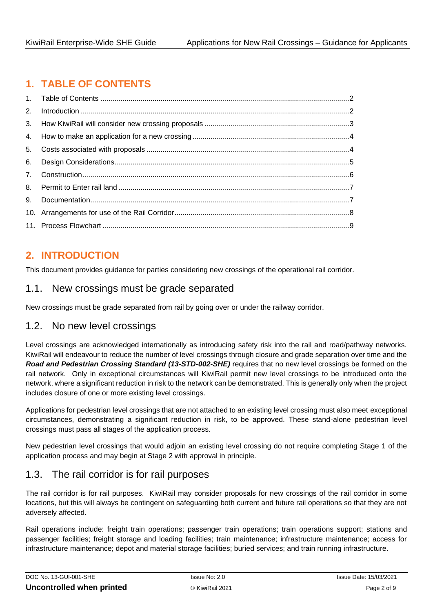## <span id="page-1-0"></span>**1. TABLE OF CONTENTS**

## <span id="page-1-1"></span>**2. INTRODUCTION**

This document provides guidance for parties considering new crossings of the operational rail corridor.

#### 1.1. New crossings must be grade separated

New crossings must be grade separated from rail by going over or under the railway corridor.

#### 1.2. No new level crossings

Level crossings are acknowledged internationally as introducing safety risk into the rail and road/pathway networks. KiwiRail will endeavour to reduce the number of level crossings through closure and grade separation over time and the *Road and Pedestrian Crossing Standard (13-STD-002-SHE)* requires that no new level crossings be formed on the rail network. Only in exceptional circumstances will KiwiRail permit new level crossings to be introduced onto the network, where a significant reduction in risk to the network can be demonstrated. This is generally only when the project includes closure of one or more existing level crossings.

Applications for pedestrian level crossings that are not attached to an existing level crossing must also meet exceptional circumstances, demonstrating a significant reduction in risk, to be approved. These stand-alone pedestrian level crossings must pass all stages of the application process.

New pedestrian level crossings that would adjoin an existing level crossing do not require completing Stage 1 of the application process and may begin at Stage 2 with approval in principle.

## 1.3. The rail corridor is for rail purposes

The rail corridor is for rail purposes. KiwiRail may consider proposals for new crossings of the rail corridor in some locations, but this will always be contingent on safeguarding both current and future rail operations so that they are not adversely affected.

Rail operations include: freight train operations; passenger train operations; train operations support; stations and passenger facilities; freight storage and loading facilities; train maintenance; infrastructure maintenance; access for infrastructure maintenance; depot and material storage facilities; buried services; and train running infrastructure.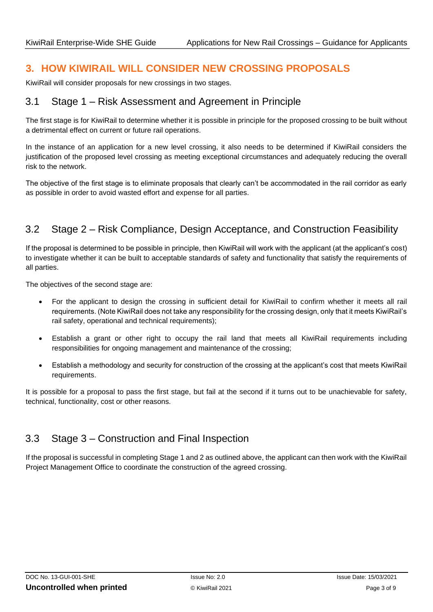## <span id="page-2-0"></span>**3. HOW KIWIRAIL WILL CONSIDER NEW CROSSING PROPOSALS**

KiwiRail will consider proposals for new crossings in two stages.

#### 3.1 Stage 1 – Risk Assessment and Agreement in Principle

The first stage is for KiwiRail to determine whether it is possible in principle for the proposed crossing to be built without a detrimental effect on current or future rail operations.

In the instance of an application for a new level crossing, it also needs to be determined if KiwiRail considers the justification of the proposed level crossing as meeting exceptional circumstances and adequately reducing the overall risk to the network.

The objective of the first stage is to eliminate proposals that clearly can't be accommodated in the rail corridor as early as possible in order to avoid wasted effort and expense for all parties.

## 3.2 Stage 2 – Risk Compliance, Design Acceptance, and Construction Feasibility

If the proposal is determined to be possible in principle, then KiwiRail will work with the applicant (at the applicant's cost) to investigate whether it can be built to acceptable standards of safety and functionality that satisfy the requirements of all parties.

The objectives of the second stage are:

- For the applicant to design the crossing in sufficient detail for KiwiRail to confirm whether it meets all rail requirements. (Note KiwiRail does not take any responsibility for the crossing design, only that it meets KiwiRail's rail safety, operational and technical requirements);
- Establish a grant or other right to occupy the rail land that meets all KiwiRail requirements including responsibilities for ongoing management and maintenance of the crossing;
- Establish a methodology and security for construction of the crossing at the applicant's cost that meets KiwiRail requirements.

It is possible for a proposal to pass the first stage, but fail at the second if it turns out to be unachievable for safety, technical, functionality, cost or other reasons.

## 3.3 Stage 3 – Construction and Final Inspection

If the proposal is successful in completing Stage 1 and 2 as outlined above, the applicant can then work with the KiwiRail Project Management Office to coordinate the construction of the agreed crossing.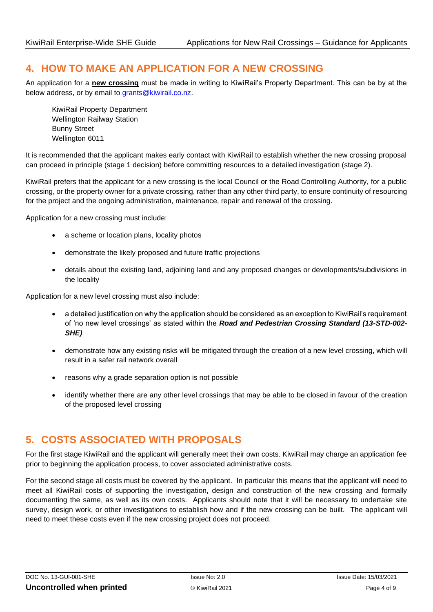#### <span id="page-3-0"></span>**4. HOW TO MAKE AN APPLICATION FOR A NEW CROSSING**

An application for a **new crossing** must be made in writing to KiwiRail's Property Department. This can be by at the below address, or by email to [grants@kiwirail.co.nz.](mailto:grants@kiwirail.co.nz)

KiwiRail Property Department Wellington Railway Station Bunny Street Wellington 6011

It is recommended that the applicant makes early contact with KiwiRail to establish whether the new crossing proposal can proceed in principle (stage 1 decision) before committing resources to a detailed investigation (stage 2).

KiwiRail prefers that the applicant for a new crossing is the local Council or the Road Controlling Authority, for a public crossing, or the property owner for a private crossing, rather than any other third party, to ensure continuity of resourcing for the project and the ongoing administration, maintenance, repair and renewal of the crossing.

Application for a new crossing must include:

- a scheme or location plans, locality photos
- demonstrate the likely proposed and future traffic projections
- details about the existing land, adjoining land and any proposed changes or developments/subdivisions in the locality

Application for a new level crossing must also include:

- a detailed justification on why the application should be considered as an exception to KiwiRail's requirement of 'no new level crossings' as stated within the *Road and Pedestrian Crossing Standard (13-STD-002- SHE)*
- demonstrate how any existing risks will be mitigated through the creation of a new level crossing, which will result in a safer rail network overall
- reasons why a grade separation option is not possible
- identify whether there are any other level crossings that may be able to be closed in favour of the creation of the proposed level crossing

## <span id="page-3-1"></span>**5. COSTS ASSOCIATED WITH PROPOSALS**

For the first stage KiwiRail and the applicant will generally meet their own costs. KiwiRail may charge an application fee prior to beginning the application process, to cover associated administrative costs.

For the second stage all costs must be covered by the applicant. In particular this means that the applicant will need to meet all KiwiRail costs of supporting the investigation, design and construction of the new crossing and formally documenting the same, as well as its own costs. Applicants should note that it will be necessary to undertake site survey, design work, or other investigations to establish how and if the new crossing can be built. The applicant will need to meet these costs even if the new crossing project does not proceed.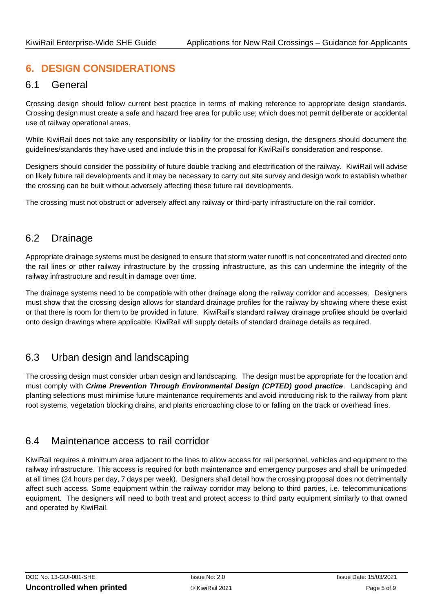## <span id="page-4-0"></span>**6. DESIGN CONSIDERATIONS**

#### 6.1 General

Crossing design should follow current best practice in terms of making reference to appropriate design standards. Crossing design must create a safe and hazard free area for public use; which does not permit deliberate or accidental use of railway operational areas.

While KiwiRail does not take any responsibility or liability for the crossing design, the designers should document the guidelines/standards they have used and include this in the proposal for KiwiRail's consideration and response.

Designers should consider the possibility of future double tracking and electrification of the railway. KiwiRail will advise on likely future rail developments and it may be necessary to carry out site survey and design work to establish whether the crossing can be built without adversely affecting these future rail developments.

The crossing must not obstruct or adversely affect any railway or third-party infrastructure on the rail corridor.

## 6.2 Drainage

Appropriate drainage systems must be designed to ensure that storm water runoff is not concentrated and directed onto the rail lines or other railway infrastructure by the crossing infrastructure, as this can undermine the integrity of the railway infrastructure and result in damage over time.

The drainage systems need to be compatible with other drainage along the railway corridor and accesses. Designers must show that the crossing design allows for standard drainage profiles for the railway by showing where these exist or that there is room for them to be provided in future. KiwiRail's standard railway drainage profiles should be overlaid onto design drawings where applicable. KiwiRail will supply details of standard drainage details as required.

## 6.3 Urban design and landscaping

The crossing design must consider urban design and landscaping. The design must be appropriate for the location and must comply with *Crime Prevention Through Environmental Design (CPTED) good practice*. Landscaping and planting selections must minimise future maintenance requirements and avoid introducing risk to the railway from plant root systems, vegetation blocking drains, and plants encroaching close to or falling on the track or overhead lines.

#### 6.4 Maintenance access to rail corridor

KiwiRail requires a minimum area adjacent to the lines to allow access for rail personnel, vehicles and equipment to the railway infrastructure. This access is required for both maintenance and emergency purposes and shall be unimpeded at all times (24 hours per day, 7 days per week). Designers shall detail how the crossing proposal does not detrimentally affect such access. Some equipment within the railway corridor may belong to third parties, i.e. telecommunications equipment. The designers will need to both treat and protect access to third party equipment similarly to that owned and operated by KiwiRail.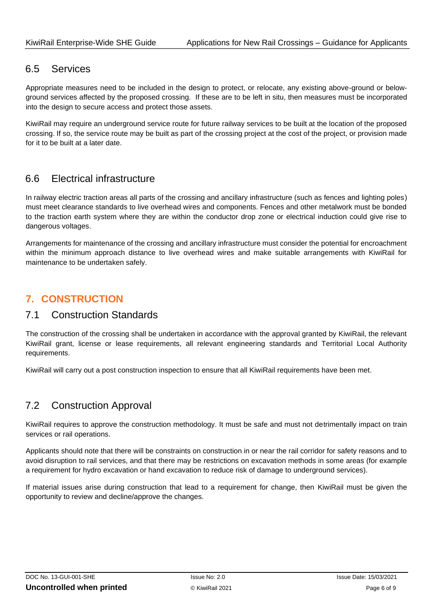#### 6.5 Services

Appropriate measures need to be included in the design to protect, or relocate, any existing above-ground or belowground services affected by the proposed crossing. If these are to be left in situ, then measures must be incorporated into the design to secure access and protect those assets.

KiwiRail may require an underground service route for future railway services to be built at the location of the proposed crossing. If so, the service route may be built as part of the crossing project at the cost of the project, or provision made for it to be built at a later date.

## 6.6 Electrical infrastructure

In railway electric traction areas all parts of the crossing and ancillary infrastructure (such as fences and lighting poles) must meet clearance standards to live overhead wires and components. Fences and other metalwork must be bonded to the traction earth system where they are within the conductor drop zone or electrical induction could give rise to dangerous voltages.

Arrangements for maintenance of the crossing and ancillary infrastructure must consider the potential for encroachment within the minimum approach distance to live overhead wires and make suitable arrangements with KiwiRail for maintenance to be undertaken safely.

## <span id="page-5-0"></span>**7. CONSTRUCTION**

#### 7.1 Construction Standards

The construction of the crossing shall be undertaken in accordance with the approval granted by KiwiRail, the relevant KiwiRail grant, license or lease requirements, all relevant engineering standards and Territorial Local Authority requirements.

KiwiRail will carry out a post construction inspection to ensure that all KiwiRail requirements have been met.

## 7.2 Construction Approval

KiwiRail requires to approve the construction methodology. It must be safe and must not detrimentally impact on train services or rail operations.

Applicants should note that there will be constraints on construction in or near the rail corridor for safety reasons and to avoid disruption to rail services, and that there may be restrictions on excavation methods in some areas (for example a requirement for hydro excavation or hand excavation to reduce risk of damage to underground services).

If material issues arise during construction that lead to a requirement for change, then KiwiRail must be given the opportunity to review and decline/approve the changes.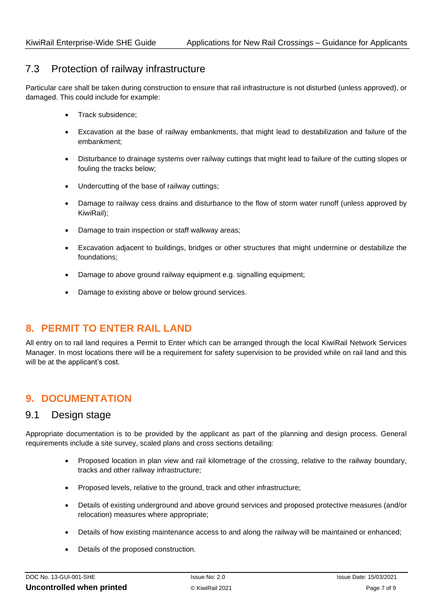#### 7.3 Protection of railway infrastructure

Particular care shall be taken during construction to ensure that rail infrastructure is not disturbed (unless approved), or damaged. This could include for example:

- Track subsidence;
- Excavation at the base of railway embankments, that might lead to destabilization and failure of the embankment;
- Disturbance to drainage systems over railway cuttings that might lead to failure of the cutting slopes or fouling the tracks below;
- Undercutting of the base of railway cuttings;
- Damage to railway cess drains and disturbance to the flow of storm water runoff (unless approved by KiwiRail);
- Damage to train inspection or staff walkway areas;
- Excavation adjacent to buildings, bridges or other structures that might undermine or destabilize the foundations;
- Damage to above ground railway equipment e.g. signalling equipment;
- Damage to existing above or below ground services.

## <span id="page-6-0"></span>**8. PERMIT TO ENTER RAIL LAND**

All entry on to rail land requires a Permit to Enter which can be arranged through the local KiwiRail Network Services Manager. In most locations there will be a requirement for safety supervision to be provided while on rail land and this will be at the applicant's cost.

## <span id="page-6-1"></span>**9. DOCUMENTATION**

#### 9.1 Design stage

Appropriate documentation is to be provided by the applicant as part of the planning and design process. General requirements include a site survey, scaled plans and cross sections detailing:

- Proposed location in plan view and rail kilometrage of the crossing, relative to the railway boundary, tracks and other railway infrastructure;
- Proposed levels, relative to the ground, track and other infrastructure;
- Details of existing underground and above ground services and proposed protective measures (and/or relocation) measures where appropriate;
- Details of how existing maintenance access to and along the railway will be maintained or enhanced;
- Details of the proposed construction.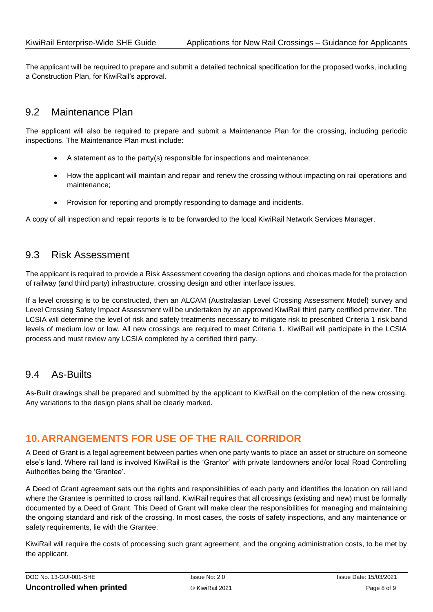The applicant will be required to prepare and submit a detailed technical specification for the proposed works, including a Construction Plan, for KiwiRail's approval.

#### 9.2 Maintenance Plan

The applicant will also be required to prepare and submit a Maintenance Plan for the crossing, including periodic inspections. The Maintenance Plan must include:

- A statement as to the party(s) responsible for inspections and maintenance;
- How the applicant will maintain and repair and renew the crossing without impacting on rail operations and maintenance;
- Provision for reporting and promptly responding to damage and incidents.

A copy of all inspection and repair reports is to be forwarded to the local KiwiRail Network Services Manager.

#### 9.3 Risk Assessment

The applicant is required to provide a Risk Assessment covering the design options and choices made for the protection of railway (and third party) infrastructure, crossing design and other interface issues.

If a level crossing is to be constructed, then an ALCAM (Australasian Level Crossing Assessment Model) survey and Level Crossing Safety Impact Assessment will be undertaken by an approved KiwiRail third party certified provider. The LCSIA will determine the level of risk and safety treatments necessary to mitigate risk to prescribed Criteria 1 risk band levels of medium low or low. All new crossings are required to meet Criteria 1. KiwiRail will participate in the LCSIA process and must review any LCSIA completed by a certified third party.

#### 9.4 As-Builts

As-Built drawings shall be prepared and submitted by the applicant to KiwiRail on the completion of the new crossing. Any variations to the design plans shall be clearly marked.

## <span id="page-7-0"></span>**10.ARRANGEMENTS FOR USE OF THE RAIL CORRIDOR**

A Deed of Grant is a legal agreement between parties when one party wants to place an asset or structure on someone else's land. Where rail land is involved KiwiRail is the 'Grantor' with private landowners and/or local Road Controlling Authorities being the 'Grantee'.

A Deed of Grant agreement sets out the rights and responsibilities of each party and identifies the location on rail land where the Grantee is permitted to cross rail land. KiwiRail requires that all crossings (existing and new) must be formally documented by a Deed of Grant. This Deed of Grant will make clear the responsibilities for managing and maintaining the ongoing standard and risk of the crossing. In most cases, the costs of safety inspections, and any maintenance or safety requirements, lie with the Grantee.

KiwiRail will require the costs of processing such grant agreement, and the ongoing administration costs, to be met by the applicant.